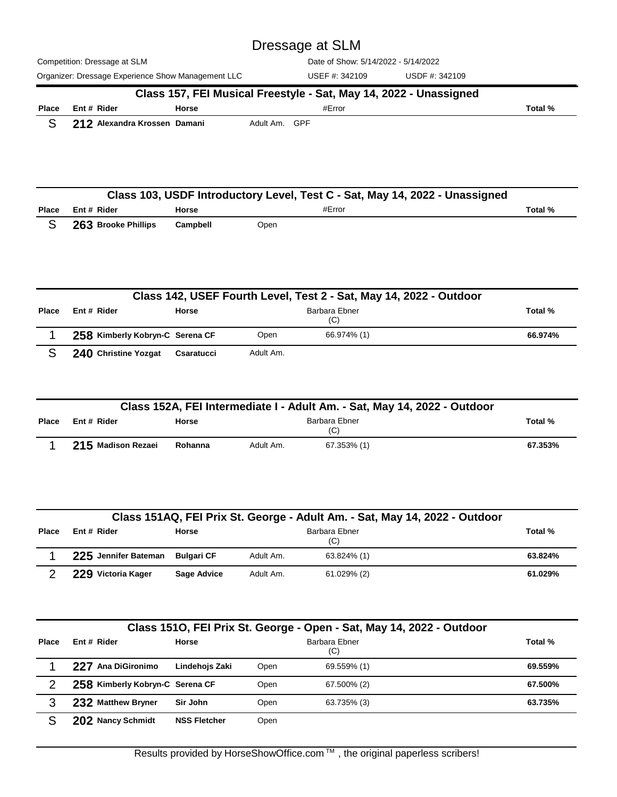Competition: Dressage at SLM Organizer: Dressage Experience Show Management LLC USEF #: 342109 USDF #: 342109 Date of Show: 5/14/2022 - 5/14/2022 USEF #: 342109 Dressage at SLM **Place Rider Horse** #Error **Total % Class 157, FEI Musical Freestyle - Sat, May 14, 2022 - Unassigned Ent #** S 212 Alexandra Krossen Damani Adult Am. GPF

|              |                     |              | Class 103, USDF Introductory Level, Test C - Sat, May 14, 2022 - Unassigned |         |
|--------------|---------------------|--------------|-----------------------------------------------------------------------------|---------|
| <b>Place</b> | Ent# Rider          | <b>Horse</b> | #Error                                                                      | Total % |
|              | 263 Brooke Phillips | Campbell     | Open                                                                        |         |

|              |                                 |            |           | Class 142, USEF Fourth Level, Test 2 - Sat, May 14, 2022 - Outdoor |         |
|--------------|---------------------------------|------------|-----------|--------------------------------------------------------------------|---------|
| <b>Place</b> | Ent # Rider                     | Horse      |           | Barbara Ebner<br>(C)                                               | Total % |
|              | 258 Kimberly Kobryn-C Serena CF |            | Open      | 66.974% (1)                                                        | 66.974% |
|              | 240 Christine Yozgat            | Csaratucci | Adult Am. |                                                                    |         |

|              | Class 152A, FEI Intermediate I - Adult Am. - Sat, May 14, 2022 - Outdoor |              |           |                      |         |  |  |  |
|--------------|--------------------------------------------------------------------------|--------------|-----------|----------------------|---------|--|--|--|
| <b>Place</b> | Ent # Rider                                                              | <b>Horse</b> |           | Barbara Ebner<br>(C) | Total % |  |  |  |
|              | 215 Madison Rezaei                                                       | Rohanna      | Adult Am. | 67.353% (1)          | 67.353% |  |  |  |

|       |                                 |              |           | Class 151AQ, FEI Prix St. George - Adult Am. - Sat, May 14, 2022 - Outdoor |         |
|-------|---------------------------------|--------------|-----------|----------------------------------------------------------------------------|---------|
| Place | Ent # Rider                     | <b>Horse</b> |           | Barbara Ebner<br>(C)                                                       | Total % |
|       | 225 Jennifer Bateman Bulgari CF |              | Adult Am. | 63.824% (1)                                                                | 63.824% |
|       | 229 Victoria Kager              | Sage Advice  | Adult Am. | 61.029% (2)                                                                | 61.029% |

|              | Class 151O, FEI Prix St. George - Open - Sat, May 14, 2022 - Outdoor |                     |      |                      |         |  |  |  |
|--------------|----------------------------------------------------------------------|---------------------|------|----------------------|---------|--|--|--|
| <b>Place</b> | Ent # Rider                                                          | Horse               |      | Barbara Ebner<br>(C) | Total % |  |  |  |
|              | Ana DiGironimo<br>227                                                | Lindehojs Zaki      | Open | 69.559% (1)          | 69.559% |  |  |  |
| 2            | 258 Kimberly Kobryn-C Serena CF                                      |                     | Open | 67.500% (2)          | 67.500% |  |  |  |
| 3            | 232 Matthew Bryner                                                   | Sir John            | Open | 63.735% (3)          | 63.735% |  |  |  |
|              | 202 Nancy Schmidt                                                    | <b>NSS Fletcher</b> | Open |                      |         |  |  |  |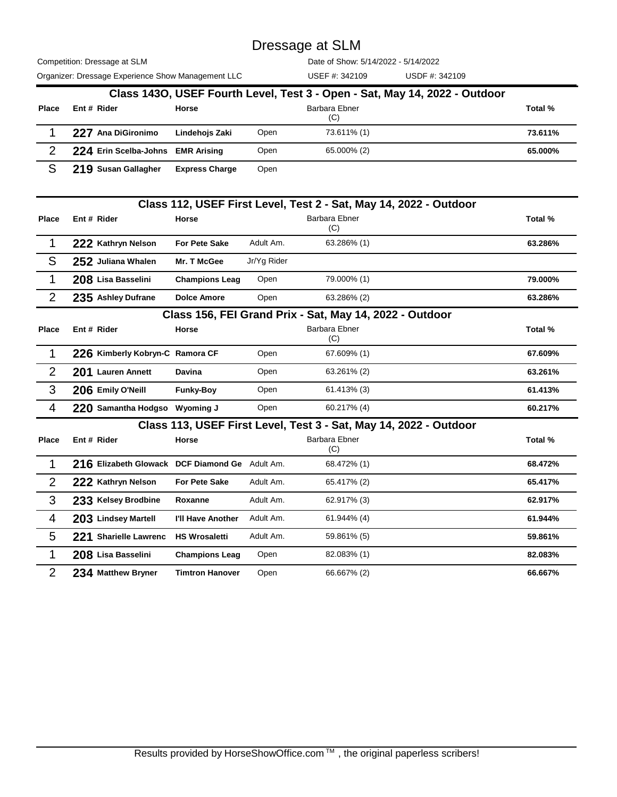Competition: Dressage at SLM

Organizer: Dressage Experience Show Management LLC USEF #: 342109 USDF #: 342109

Date of Show: 5/14/2022 - 5/14/2022

|              |                                   |                       |      | Class 1430, USEF Fourth Level, Test 3 - Open - Sat, May 14, 2022 - Outdoor |         |
|--------------|-----------------------------------|-----------------------|------|----------------------------------------------------------------------------|---------|
| <b>Place</b> | Ent # Rider                       | Horse                 |      | Barbara Ebner<br>(C)                                                       | Total % |
|              | 227 Ana DiGironimo                | Lindehojs Zaki        | Open | 73.611% (1)                                                                | 73.611% |
| າ            | 224 Erin Scelba-Johns EMR Arising |                       | Open | 65.000% (2)                                                                | 65.000% |
|              | 219 Susan Gallagher               | <b>Express Charge</b> | Open |                                                                            |         |

|                |                                                |                        |             | Class 112, USEF First Level, Test 2 - Sat, May 14, 2022 - Outdoor |         |
|----------------|------------------------------------------------|------------------------|-------------|-------------------------------------------------------------------|---------|
| <b>Place</b>   | Ent # Rider                                    | Horse                  |             | Barbara Ebner<br>(C)                                              | Total % |
| 1              | 222 Kathryn Nelson                             | <b>For Pete Sake</b>   | Adult Am.   | 63.286% (1)                                                       | 63.286% |
| S              | 252 Juliana Whalen                             | Mr. T McGee            | Jr/Yg Rider |                                                                   |         |
| $\mathbf{1}$   | 208 Lisa Basselini                             | <b>Champions Leag</b>  | Open        | 79.000% (1)                                                       | 79.000% |
| $\overline{2}$ | 235 Ashley Dufrane                             | <b>Dolce Amore</b>     | Open        | 63.286% (2)                                                       | 63.286% |
|                |                                                |                        |             | Class 156, FEI Grand Prix - Sat, May 14, 2022 - Outdoor           |         |
| <b>Place</b>   | Ent # Rider                                    | <b>Horse</b>           |             | <b>Barbara Ebner</b><br>(C)                                       | Total % |
| $\mathbf{1}$   | 226 Kimberly Kobryn-C Ramora CF                |                        | Open        | 67.609% (1)                                                       | 67.609% |
| $\overline{2}$ | 201 Lauren Annett                              | <b>Davina</b>          | Open        | 63.261% (2)                                                       | 63.261% |
| 3              | 206 Emily O'Neill                              | <b>Funky-Boy</b>       | Open        | 61.413% (3)                                                       | 61.413% |
| 4              | 220 Samantha Hodgso Wyoming J                  |                        | Open        | 60.217% (4)                                                       | 60.217% |
|                |                                                |                        |             | Class 113, USEF First Level, Test 3 - Sat, May 14, 2022 - Outdoor |         |
| <b>Place</b>   | Ent # Rider                                    | <b>Horse</b>           |             | Barbara Ebner<br>(C)                                              | Total % |
| $\mathbf{1}$   | 216 Elizabeth Glowack DCF Diamond Ge Adult Am. |                        |             | 68.472% (1)                                                       | 68.472% |
| $\overline{2}$ | 222 Kathryn Nelson                             | <b>For Pete Sake</b>   | Adult Am.   | 65.417% (2)                                                       | 65.417% |
| 3              | 233 Kelsey Brodbine                            | Roxanne                | Adult Am.   | 62.917% (3)                                                       | 62.917% |
| 4              | 203 Lindsey Martell                            | I'll Have Another      | Adult Am.   | 61.944% (4)                                                       | 61.944% |
| 5              | 221 Sharielle Lawrenc                          | <b>HS Wrosaletti</b>   | Adult Am.   | 59.861% (5)                                                       | 59.861% |
| 1              | 208 Lisa Basselini                             | <b>Champions Leag</b>  | Open        | 82.083% (1)                                                       | 82.083% |
| $\overline{2}$ | 234 Matthew Bryner                             | <b>Timtron Hanover</b> | Open        | 66.667% (2)                                                       | 66.667% |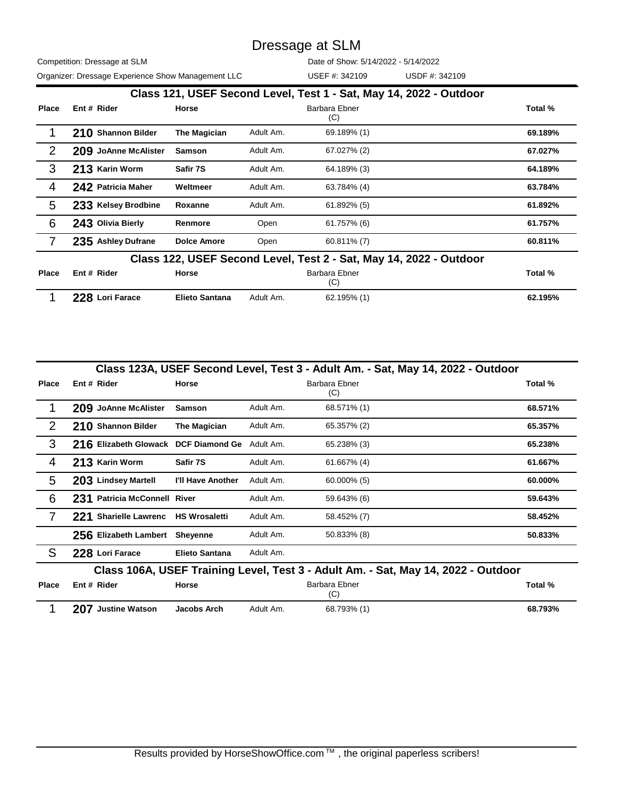Competition: Dressage at SLM Organizer: Dressage Experience Show Management LLC USEF #: 342109 USDF #: 342109

Date of Show: 5/14/2022 - 5/14/2022

|              |                      |                       |           | Class 121, USEF Second Level, Test 1 - Sat, May 14, 2022 - Outdoor |         |
|--------------|----------------------|-----------------------|-----------|--------------------------------------------------------------------|---------|
| <b>Place</b> | Ent # Rider          | Horse                 |           | Barbara Ebner<br>(C)                                               | Total % |
|              | 210 Shannon Bilder   | The Magician          | Adult Am. | 69.189% (1)                                                        | 69.189% |
| 2            | 209 JoAnne McAlister | <b>Samson</b>         | Adult Am. | 67.027% (2)                                                        | 67.027% |
| 3            | 213 Karin Worm       | Safir 7S              | Adult Am. | 64.189% (3)                                                        | 64.189% |
| 4            | 242 Patricia Maher   | Weltmeer              | Adult Am. | 63.784% (4)                                                        | 63.784% |
| 5            | 233 Kelsey Brodbine  | Roxanne               | Adult Am. | 61.892% (5)                                                        | 61.892% |
| 6            | 243 Olivia Bierly    | Renmore               | Open      | $61.757\%$ (6)                                                     | 61.757% |
|              | 235 Ashley Dufrane   | <b>Dolce Amore</b>    | Open      | $60.811\%$ (7)                                                     | 60.811% |
|              |                      |                       |           | Class 122, USEF Second Level, Test 2 - Sat, May 14, 2022 - Outdoor |         |
| Place        | Ent # Rider          | Horse                 |           | Barbara Ebner<br>(C)                                               | Total % |
|              | 228 Lori Farace      | <b>Elieto Santana</b> | Adult Am. | 62.195% (1)                                                        | 62.195% |

|              |                                      |                       |           |                      | Class 123A, USEF Second Level, Test 3 - Adult Am. - Sat, May 14, 2022 - Outdoor   |
|--------------|--------------------------------------|-----------------------|-----------|----------------------|-----------------------------------------------------------------------------------|
| <b>Place</b> | Ent # Rider                          | <b>Horse</b>          |           | Barbara Ebner<br>(C) | Total %                                                                           |
|              | 209 JoAnne McAlister                 | <b>Samson</b>         | Adult Am. | 68.571% (1)          | 68.571%                                                                           |
| 2            | 210 Shannon Bilder                   | The Magician          | Adult Am. | 65.357% (2)          | 65.357%                                                                           |
| 3            | 216 Elizabeth Glowack DCF Diamond Ge |                       | Adult Am. | 65.238% (3)          | 65.238%                                                                           |
| 4            | 213 Karin Worm                       | Safir 7S              | Adult Am. | 61.667% (4)          | 61.667%                                                                           |
| 5            | 203 Lindsey Martell                  | I'll Have Another     | Adult Am. | $60.000\%$ (5)       | 60.000%                                                                           |
| 6            | 231 Patricia McConnell River         |                       | Adult Am. | 59.643% (6)          | 59.643%                                                                           |
| 7            | 221 Sharielle Lawrenc                | <b>HS Wrosaletti</b>  | Adult Am. | 58.452% (7)          | 58.452%                                                                           |
|              | 256 Elizabeth Lambert Sheyenne       |                       | Adult Am. | 50.833% (8)          | 50.833%                                                                           |
| S            | 228 Lori Farace                      | <b>Elieto Santana</b> | Adult Am. |                      |                                                                                   |
|              |                                      |                       |           |                      | Class 106A, USEF Training Level, Test 3 - Adult Am. - Sat, May 14, 2022 - Outdoor |
| <b>Place</b> | Ent # Rider                          | Horse                 |           | Barbara Ebner<br>(C) | Total %                                                                           |
|              | <b>Justine Watson</b><br>207         | Jacobs Arch           | Adult Am. | 68.793% (1)          | 68.793%                                                                           |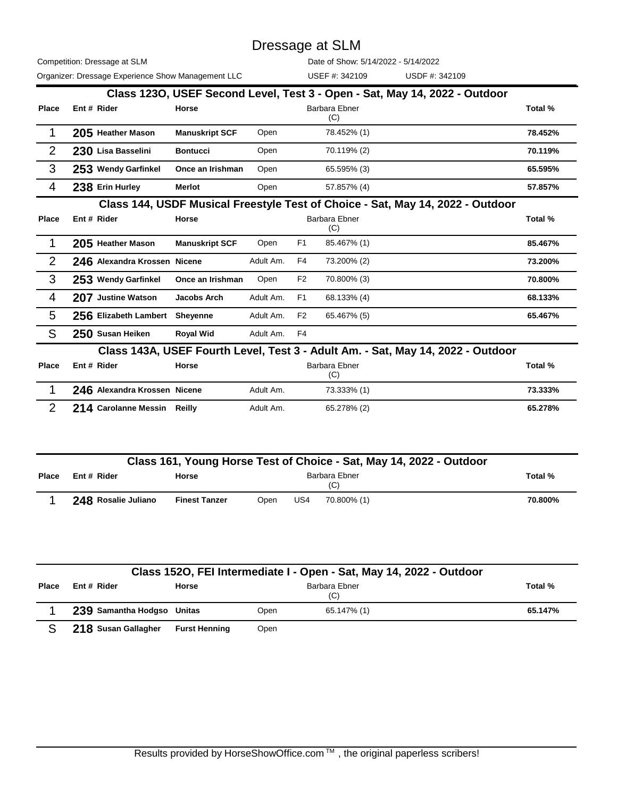Competition: Dressage at SLM

Organizer: Dressage Experience Show Management LLC USEF #: 342109 USDF #: 342109

Date of Show: 5/14/2022 - 5/14/2022

|                |                                     |                       |           |                | Class 1230, USEF Second Level, Test 3 - Open - Sat, May 14, 2022 - Outdoor      |         |
|----------------|-------------------------------------|-----------------------|-----------|----------------|---------------------------------------------------------------------------------|---------|
| <b>Place</b>   | Ent # Rider                         | Horse                 |           |                | Barbara Ebner<br>(C)                                                            | Total % |
| 1              | 205 Heather Mason                   | <b>Manuskript SCF</b> | Open      |                | 78.452% (1)                                                                     | 78.452% |
| $\overline{2}$ | 230 Lisa Basselini                  | <b>Bontucci</b>       | Open      |                | 70.119% (2)                                                                     | 70.119% |
| 3              | 253 Wendy Garfinkel                 | Once an Irishman      | Open      |                | 65.595% (3)                                                                     | 65.595% |
| 4              | 238 Erin Hurley                     | <b>Merlot</b>         | Open      |                | 57.857% (4)                                                                     | 57.857% |
|                |                                     |                       |           |                | Class 144, USDF Musical Freestyle Test of Choice - Sat, May 14, 2022 - Outdoor  |         |
| <b>Place</b>   | Ent # Rider                         | Horse                 |           |                | <b>Barbara Ebner</b><br>(C)                                                     | Total % |
| 1              | 205 Heather Mason                   | <b>Manuskript SCF</b> | Open      | F <sub>1</sub> | 85.467% (1)                                                                     | 85.467% |
| 2              | 246 Alexandra Krossen Nicene        |                       | Adult Am. | F4             | 73.200% (2)                                                                     | 73.200% |
| 3              | 253 Wendy Garfinkel                 | Once an Irishman      | Open      | F <sub>2</sub> | 70.800% (3)                                                                     | 70.800% |
| 4              | 207 Justine Watson                  | Jacobs Arch           | Adult Am. | F <sub>1</sub> | 68.133% (4)                                                                     | 68.133% |
| 5              | 256 Elizabeth Lambert               | <b>Sheyenne</b>       | Adult Am. | F <sub>2</sub> | 65.467% (5)                                                                     | 65.467% |
| S              | 250 Susan Heiken                    | <b>Royal Wid</b>      | Adult Am. | F4             |                                                                                 |         |
|                |                                     |                       |           |                | Class 143A, USEF Fourth Level, Test 3 - Adult Am. - Sat, May 14, 2022 - Outdoor |         |
| <b>Place</b>   | Ent # Rider                         | Horse                 |           |                | Barbara Ebner<br>(C)                                                            | Total % |
| 1              | <b>246 Alexandra Krossen Nicene</b> |                       | Adult Am. |                | 73.333% (1)                                                                     | 73.333% |

| <b>LAD</b> MURRISS IN USSUIL INDUITY |           | 1.0.0007011 | , ,,,,,,,, |
|--------------------------------------|-----------|-------------|------------|
| 214 Carolanne Messin Reilly          | Adult Am. | 65.278% (2) | 65.278%    |
|                                      |           |             |            |

|              | Class 161, Young Horse Test of Choice - Sat, May 14, 2022 - Outdoor |                      |                      |     |             |         |  |  |  |
|--------------|---------------------------------------------------------------------|----------------------|----------------------|-----|-------------|---------|--|--|--|
| <b>Place</b> | Ent # Rider                                                         | Horse                | Barbara Ebner<br>(C) |     |             |         |  |  |  |
|              | 248 Rosalie Juliano                                                 | <b>Finest Tanzer</b> | Open                 | US4 | 70.800% (1) | 70.800% |  |  |  |

|              | Class 1520, FEI Intermediate I - Open - Sat, May 14, 2022 - Outdoor |                      |      |                      |         |  |  |  |  |
|--------------|---------------------------------------------------------------------|----------------------|------|----------------------|---------|--|--|--|--|
| <b>Place</b> | Ent # Rider                                                         | <b>Horse</b>         |      | Barbara Ebner<br>(C) | Total % |  |  |  |  |
|              | 239 Samantha Hodgso Unitas                                          |                      | Open | 65.147% (1)          | 65.147% |  |  |  |  |
|              | 218 Susan Gallagher                                                 | <b>Furst Henning</b> | Open |                      |         |  |  |  |  |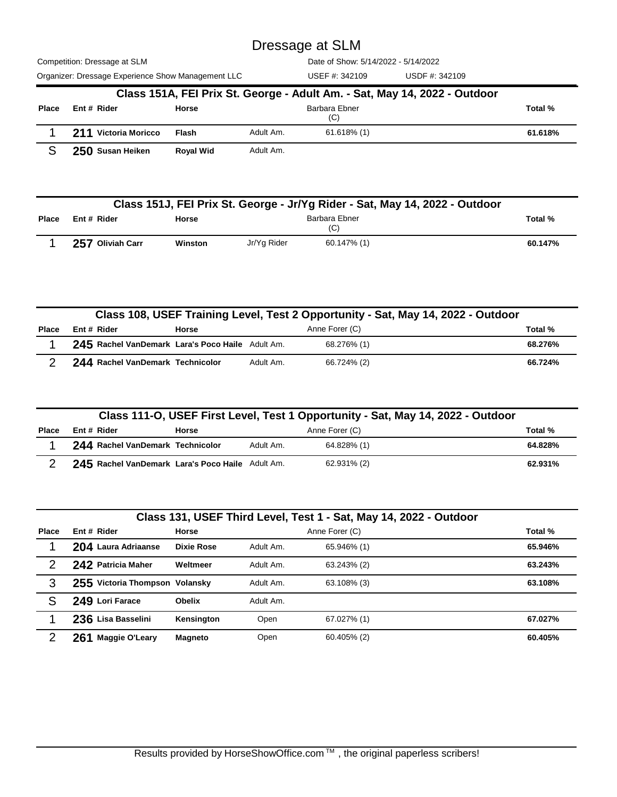Competition: Dressage at SLM

Date of Show: 5/14/2022 - 5/14/2022

| Organizer: Dressage Experience Show Management LLC |                                                                           |                  |           | USEF #: 342109       | USDF #: 342109 |         |  |  |
|----------------------------------------------------|---------------------------------------------------------------------------|------------------|-----------|----------------------|----------------|---------|--|--|
|                                                    | Class 151A, FEI Prix St. George - Adult Am. - Sat, May 14, 2022 - Outdoor |                  |           |                      |                |         |  |  |
| <b>Place</b>                                       | Ent # Rider                                                               | Horse            |           | Barbara Ebner<br>(C) |                | Total % |  |  |
|                                                    | 211 Victoria Moricco                                                      | <b>Flash</b>     | Adult Am. | $61.618\%$ (1)       |                | 61.618% |  |  |
|                                                    | 250 Susan Heiken                                                          | <b>Royal Wid</b> | Adult Am. |                      |                |         |  |  |

|              | Class 151J, FEI Prix St. George - Jr/Yg Rider - Sat, May 14, 2022 - Outdoor |         |             |                      |         |  |  |  |
|--------------|-----------------------------------------------------------------------------|---------|-------------|----------------------|---------|--|--|--|
| <b>Place</b> | Ent # Rider                                                                 | Horse   |             | Barbara Ebner<br>(C) | Total % |  |  |  |
|              | 257 Oliviah Carr                                                            | Winston | Jr/Yg Rider | 60.147% (1)          | 60.147% |  |  |  |

|       | Class 108, USEF Training Level, Test 2 Opportunity - Sat, May 14, 2022 - Outdoor |       |           |                |         |  |  |  |  |
|-------|----------------------------------------------------------------------------------|-------|-----------|----------------|---------|--|--|--|--|
| Place | Ent# Rider                                                                       | Horse |           | Anne Forer (C) | Total % |  |  |  |  |
|       | 245 Rachel VanDemark Lara's Poco Haile Adult Am.                                 |       |           | 68.276% (1)    | 68.276% |  |  |  |  |
|       | 244 Rachel VanDemark Technicolor                                                 |       | Adult Am. | 66.724% (2)    | 66.724% |  |  |  |  |

|              | Class 111-O, USEF First Level, Test 1 Opportunity - Sat, May 14, 2022 - Outdoor |       |           |                |         |  |  |  |
|--------------|---------------------------------------------------------------------------------|-------|-----------|----------------|---------|--|--|--|
| <b>Place</b> | Ent # Rider                                                                     | Horse |           | Anne Forer (C) | Total % |  |  |  |
|              | 244 Rachel VanDemark Technicolor                                                |       | Adult Am. | 64.828% (1)    | 64.828% |  |  |  |
|              | 245 Rachel VanDemark Lara's Poco Haile Adult Am.                                |       |           | 62.931% (2)    | 62.931% |  |  |  |

|              |                                |                   |           | Class 131, USEF Third Level, Test 1 - Sat, May 14, 2022 - Outdoor |         |  |
|--------------|--------------------------------|-------------------|-----------|-------------------------------------------------------------------|---------|--|
| <b>Place</b> | Ent # Rider                    | <b>Horse</b>      |           | Anne Forer (C)                                                    | Total % |  |
|              | 204 Laura Adriaanse            | <b>Dixie Rose</b> | Adult Am. | 65.946% (1)                                                       | 65.946% |  |
|              | 242 Patricia Maher             | Weltmeer          | Adult Am. | 63.243% (2)                                                       | 63.243% |  |
| 3            | 255 Victoria Thompson Volansky |                   | Adult Am. | 63.108% (3)                                                       | 63.108% |  |
| S            | 249 Lori Farace                | <b>Obelix</b>     | Adult Am. |                                                                   |         |  |
|              | 236 Lisa Basselini             | Kensington        | Open      | 67.027% (1)                                                       | 67.027% |  |
|              | 261 Maggie O'Leary             | <b>Magneto</b>    | Open      | $60.405\%$ (2)                                                    | 60.405% |  |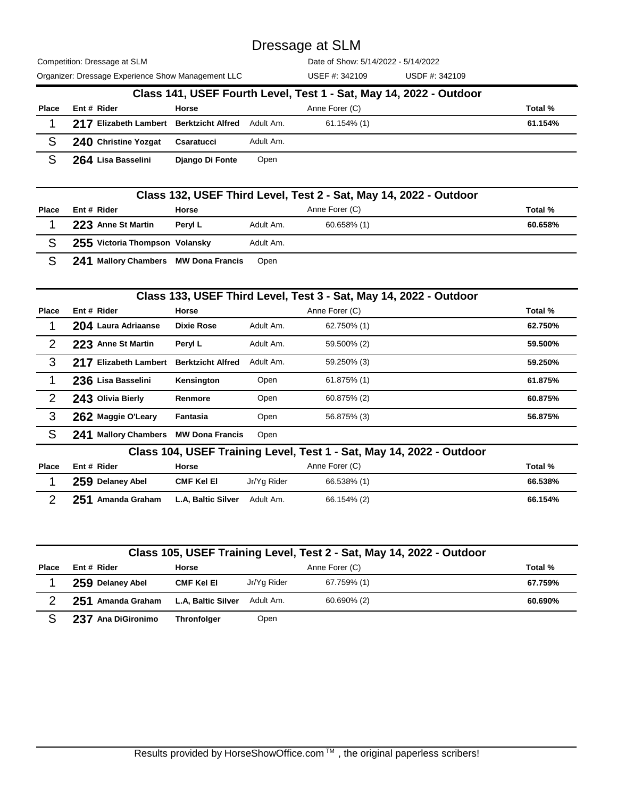Competition: Dressage at SLM

Date of Show: 5/14/2022 - 5/14/2022

| Organizer: Dressage Experience Show Management LLC |                                         |                 |           | USEF #: 342109                                                     | USDF #: 342109 |         |
|----------------------------------------------------|-----------------------------------------|-----------------|-----------|--------------------------------------------------------------------|----------------|---------|
|                                                    |                                         |                 |           | Class 141, USEF Fourth Level, Test 1 - Sat, May 14, 2022 - Outdoor |                |         |
| Place                                              | Ent # Rider                             | Horse           |           | Anne Forer (C)                                                     |                | Total % |
|                                                    | 217 Elizabeth Lambert Berktzicht Alfred |                 | Adult Am. | $61.154\%$ (1)                                                     |                | 61.154% |
|                                                    | 240 Christine Yozgat                    | Csaratucci      | Adult Am. |                                                                    |                |         |
|                                                    | 264 Lisa Basselini                      | Diango Di Fonte | Open      |                                                                    |                |         |

|              |                                      |               |           | Class 132, USEF Third Level, Test 2 - Sat, May 14, 2022 - Outdoor |         |
|--------------|--------------------------------------|---------------|-----------|-------------------------------------------------------------------|---------|
| <b>Place</b> | Ent # Rider                          | Horse         |           | Anne Forer (C)                                                    | Total % |
|              | 223 Anne St Martin                   | <b>PerviL</b> | Adult Am. | $60.658\%$ (1)                                                    | 60.658% |
|              | 255 Victoria Thompson Volansky       |               | Adult Am. |                                                                   |         |
|              | 241 Mallory Chambers MW Dona Francis |               | Open      |                                                                   |         |

|               |                                |                          |           | Class 133, USEF Third Level, Test 3 - Sat, May 14, 2022 - Outdoor    |         |
|---------------|--------------------------------|--------------------------|-----------|----------------------------------------------------------------------|---------|
| <b>Place</b>  | Ent # Rider                    | Horse                    |           | Anne Forer (C)                                                       | Total % |
| 1             | 204 Laura Adriaanse            | <b>Dixie Rose</b>        | Adult Am. | 62.750% (1)                                                          | 62.750% |
| 2             | 223 Anne St Martin             | Peryl L                  | Adult Am. | 59.500% (2)                                                          | 59.500% |
| 3             | 217 Elizabeth Lambert          | <b>Berktzicht Alfred</b> | Adult Am. | 59.250% (3)                                                          | 59.250% |
|               | 236 Lisa Basselini             | Kensington               | Open      | 61.875% (1)                                                          | 61.875% |
| $\mathcal{P}$ | 243 Olivia Bierly              | Renmore                  | Open      | 60.875% (2)                                                          | 60.875% |
| 3             | 262 Maggie O'Leary             | Fantasia                 | Open      | 56.875% (3)                                                          | 56.875% |
| S             | <b>Mallory Chambers</b><br>241 | <b>MW Dona Francis</b>   | Open      |                                                                      |         |
|               |                                |                          |           | Class 104, USEF Training Level, Test 1 - Sat, May 14, 2022 - Outdoor |         |

| Place | Ent # Rider       | Horse              |             | Anne Forer (C) | Total % |
|-------|-------------------|--------------------|-------------|----------------|---------|
|       | 259 Delaney Abel  | <b>CMF Kel El</b>  | Jr/Yg Rider | 66.538% (1)    | 66.538% |
|       | 251 Amanda Graham | L.A, Baltic Silver | Adult Am.   | 66.154% (2)    | 66.154% |

|              |                    |                    |             | Class 105, USEF Training Level, Test 2 - Sat, May 14, 2022 - Outdoor |         |
|--------------|--------------------|--------------------|-------------|----------------------------------------------------------------------|---------|
| <b>Place</b> | Ent # Rider        | Horse              |             | Anne Forer (C)                                                       | Total % |
|              | 259 Delaney Abel   | <b>CMF Kel El</b>  | Jr/Yg Rider | 67.759% (1)                                                          | 67.759% |
|              | 251 Amanda Graham  | L.A, Baltic Silver | Adult Am.   | 60.690% (2)                                                          | 60.690% |
|              | 237 Ana DiGironimo | <b>Thronfolger</b> | Open        |                                                                      |         |